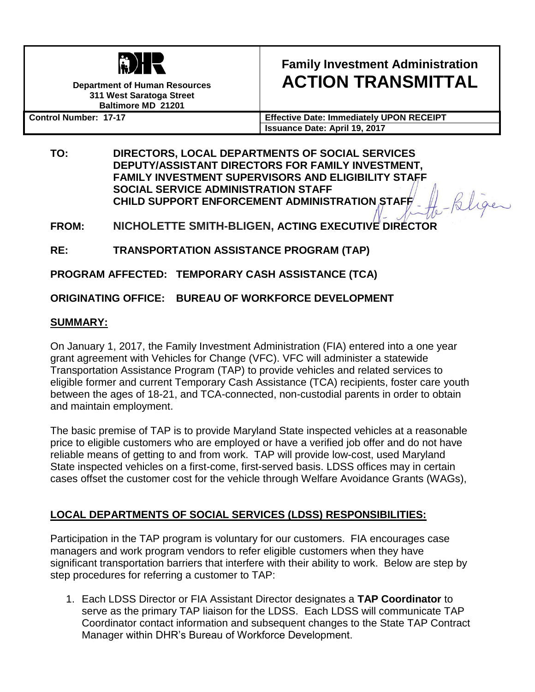

**Department of Human Resources 311 West Saratoga Street Baltimore MD 21201**

# **Family Investment Administration ACTION TRANSMITTAL**

ligen

**Control Number: 17-17 Effective Date: Immediately UPON RECEIPT Issuance Date: April 19, 2017**

**TO: DIRECTORS, LOCAL DEPARTMENTS OF SOCIAL SERVICES DEPUTY/ASSISTANT DIRECTORS FOR FAMILY INVESTMENT, FAMILY INVESTMENT SUPERVISORS AND ELIGIBILITY STAFF SOCIAL SERVICE ADMINISTRATION STAFF CHILD SUPPORT ENFORCEMENT ADMINISTRATION STAFF**

**FROM: NICHOLETTE SMITH-BLIGEN, ACTING EXECUTIVE DIRECTOR**

**RE: TRANSPORTATION ASSISTANCE PROGRAM (TAP)**

**PROGRAM AFFECTED: TEMPORARY CASH ASSISTANCE (TCA)**

**ORIGINATING OFFICE: BUREAU OF WORKFORCE DEVELOPMENT**

## **SUMMARY:**

On January 1, 2017, the Family Investment Administration (FIA) entered into a one year grant agreement with Vehicles for Change (VFC). VFC will administer a statewide Transportation Assistance Program (TAP) to provide vehicles and related services to eligible former and current Temporary Cash Assistance (TCA) recipients, foster care youth between the ages of 18-21, and TCA-connected, non-custodial parents in order to obtain and maintain employment.

The basic premise of TAP is to provide Maryland State inspected vehicles at a reasonable price to eligible customers who are employed or have a verified job offer and do not have reliable means of getting to and from work. TAP will provide low-cost, used Maryland State inspected vehicles on a first-come, first-served basis. LDSS offices may in certain cases offset the customer cost for the vehicle through Welfare Avoidance Grants (WAGs),

## **LOCAL DEPARTMENTS OF SOCIAL SERVICES (LDSS) RESPONSIBILITIES:**

Participation in the TAP program is voluntary for our customers. FIA encourages case managers and work program vendors to refer eligible customers when they have significant transportation barriers that interfere with their ability to work. Below are step by step procedures for referring a customer to TAP:

1. Each LDSS Director or FIA Assistant Director designates a **TAP Coordinator** to serve as the primary TAP liaison for the LDSS. Each LDSS will communicate TAP Coordinator contact information and subsequent changes to the State TAP Contract Manager within DHR's Bureau of Workforce Development.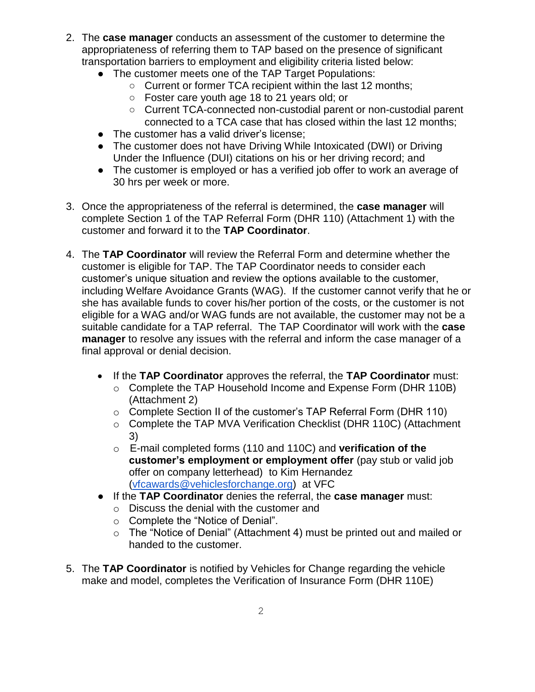- 2. The **case manager** conducts an assessment of the customer to determine the appropriateness of referring them to TAP based on the presence of significant transportation barriers to employment and eligibility criteria listed below:
	- The customer meets one of the TAP Target Populations:
		- Current or former TCA recipient within the last 12 months;
		- Foster care youth age 18 to 21 years old; or
		- Current TCA-connected non-custodial parent or non-custodial parent connected to a TCA case that has closed within the last 12 months;
	- The customer has a valid driver's license:
	- The customer does not have Driving While Intoxicated (DWI) or Driving Under the Influence (DUI) citations on his or her driving record; and
	- The customer is employed or has a verified job offer to work an average of 30 hrs per week or more.
- 3. Once the appropriateness of the referral is determined, the **case manager** will complete Section 1 of the TAP Referral Form (DHR 110) (Attachment 1) with the customer and forward it to the **TAP Coordinator**.
- 4. The **TAP Coordinator** will review the Referral Form and determine whether the customer is eligible for TAP. The TAP Coordinator needs to consider each customer's unique situation and review the options available to the customer, including Welfare Avoidance Grants (WAG). If the customer cannot verify that he or she has available funds to cover his/her portion of the costs, or the customer is not eligible for a WAG and/or WAG funds are not available, the customer may not be a suitable candidate for a TAP referral. The TAP Coordinator will work with the **case manager** to resolve any issues with the referral and inform the case manager of a final approval or denial decision.
	- If the **TAP Coordinator** approves the referral, the **TAP Coordinator** must:
		- o Complete the TAP Household Income and Expense Form (DHR 110B) (Attachment 2)
		- o Complete Section II of the customer's TAP Referral Form (DHR 110)
		- o Complete the TAP MVA Verification Checklist (DHR 110C) (Attachment 3)
		- o E-mail completed forms (110 and 110C) and **verification of the customer's employment or employment offer** (pay stub or valid job offer on company letterhead) to Kim Hernandez [\(vfcawards@vehiclesforchange.org\)](mailto:vfcawards@vehiclesforchange.org) at VFC
	- If the **TAP Coordinator** denies the referral, the **case manager** must:
		- o Discuss the denial with the customer and
		- o Complete the "Notice of Denial".
		- o The "Notice of Denial" (Attachment 4) must be printed out and mailed or handed to the customer.
- 5. The **TAP Coordinator** is notified by Vehicles for Change regarding the vehicle make and model, completes the Verification of Insurance Form (DHR 110E)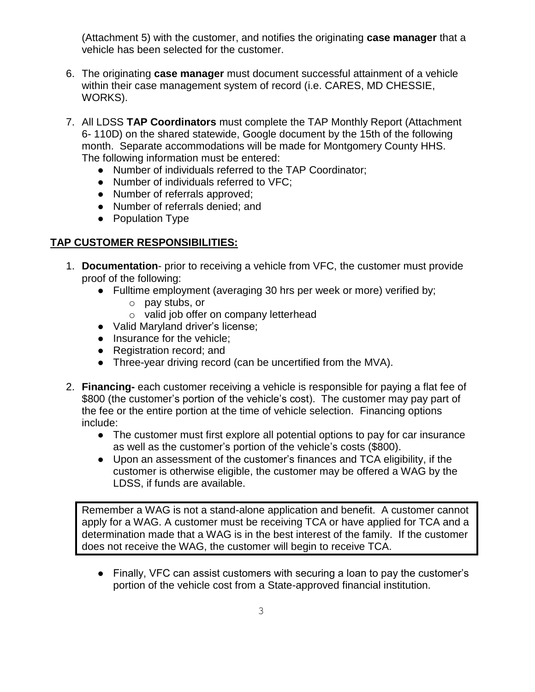(Attachment 5) with the customer, and notifies the originating **case manager** that a vehicle has been selected for the customer.

- 6. The originating **case manager** must document successful attainment of a vehicle within their case management system of record (i.e. CARES, MD CHESSIE, WORKS).
- 7. All LDSS **TAP Coordinators** must complete the TAP Monthly Report (Attachment 6- 110D) on the shared statewide, Google document by the 15th of the following month. Separate accommodations will be made for Montgomery County HHS. The following information must be entered:
	- Number of individuals referred to the TAP Coordinator;
	- Number of individuals referred to VFC;
	- Number of referrals approved;
	- Number of referrals denied; and
	- Population Type

### **TAP CUSTOMER RESPONSIBILITIES:**

- 1. **Documentation** prior to receiving a vehicle from VFC, the customer must provide proof of the following:
	- Fulltime employment (averaging 30 hrs per week or more) verified by;
		- o pay stubs, or
		- o valid job offer on company letterhead
	- Valid Maryland driver's license;
	- Insurance for the vehicle;
	- Registration record; and
	- Three-year driving record (can be uncertified from the MVA).
- 2. **Financing-** each customer receiving a vehicle is responsible for paying a flat fee of \$800 (the customer's portion of the vehicle's cost). The customer may pay part of the fee or the entire portion at the time of vehicle selection. Financing options include:
	- The customer must first explore all potential options to pay for car insurance as well as the customer's portion of the vehicle's costs (\$800).
	- Upon an assessment of the customer's finances and TCA eligibility, if the customer is otherwise eligible, the customer may be offered a WAG by the LDSS, if funds are available.

Remember a WAG is not a stand-alone application and benefit. A customer cannot apply for a WAG. A customer must be receiving TCA or have applied for TCA and a determination made that a WAG is in the best interest of the family. If the customer does not receive the WAG, the customer will begin to receive TCA.

● Finally, VFC can assist customers with securing a loan to pay the customer's portion of the vehicle cost from a State-approved financial institution.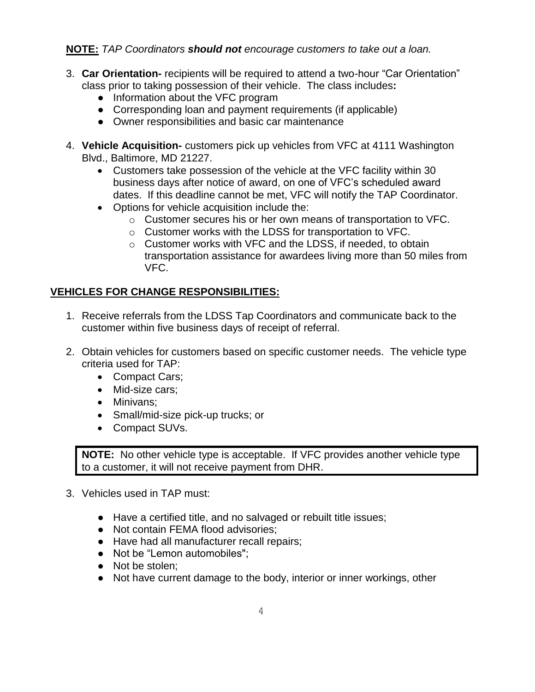### **NOTE:** *TAP Coordinators should not encourage customers to take out a loan.*

- 3. **Car Orientation-** recipients will be required to attend a two-hour "Car Orientation" class prior to taking possession of their vehicle. The class includes**:**
	- Information about the VFC program
	- Corresponding loan and payment requirements (if applicable)
	- Owner responsibilities and basic car maintenance
- 4. **Vehicle Acquisition-** customers pick up vehicles from VFC at 4111 Washington Blvd., Baltimore, MD 21227.
	- Customers take possession of the vehicle at the VFC facility within 30 business days after notice of award, on one of VFC's scheduled award dates. If this deadline cannot be met, VFC will notify the TAP Coordinator.
	- Options for vehicle acquisition include the:
		- o Customer secures his or her own means of transportation to VFC.
		- o Customer works with the LDSS for transportation to VFC.
		- o Customer works with VFC and the LDSS, if needed, to obtain transportation assistance for awardees living more than 50 miles from VFC.

## **VEHICLES FOR CHANGE RESPONSIBILITIES:**

- 1. Receive referrals from the LDSS Tap Coordinators and communicate back to the customer within five business days of receipt of referral.
- 2. Obtain vehicles for customers based on specific customer needs. The vehicle type criteria used for TAP:
	- Compact Cars;
	- Mid-size cars;
	- Minivans;
	- Small/mid-size pick-up trucks; or
	- Compact SUVs.

**NOTE:** No other vehicle type is acceptable. If VFC provides another vehicle type to a customer, it will not receive payment from DHR.

- 3. Vehicles used in TAP must:
	- Have a certified title, and no salvaged or rebuilt title issues;
	- Not contain FEMA flood advisories;
	- Have had all manufacturer recall repairs;
	- Not be "Lemon automobiles";
	- Not be stolen:
	- Not have current damage to the body, interior or inner workings, other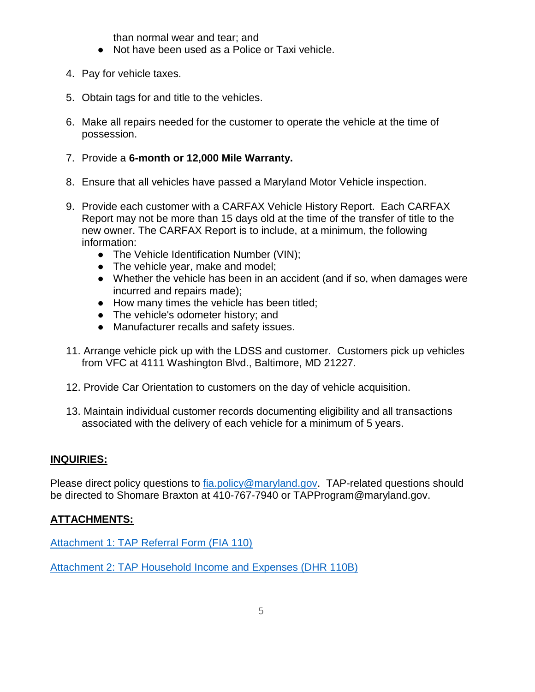than normal wear and tear; and

- Not have been used as a Police or Taxi vehicle.
- 4. Pay for vehicle taxes.
- 5. Obtain tags for and title to the vehicles.
- 6. Make all repairs needed for the customer to operate the vehicle at the time of possession.

#### 7. Provide a **6-month or 12,000 Mile Warranty.**

- 8. Ensure that all vehicles have passed a Maryland Motor Vehicle inspection.
- 9. Provide each customer with a CARFAX Vehicle History Report. Each CARFAX Report may not be more than 15 days old at the time of the transfer of title to the new owner. The CARFAX Report is to include, at a minimum, the following information:
	- The Vehicle Identification Number (VIN);
	- The vehicle year, make and model;
	- Whether the vehicle has been in an accident (and if so, when damages were incurred and repairs made);
	- How many times the vehicle has been titled;
	- The vehicle's odometer history; and
	- Manufacturer recalls and safety issues.
- 11. Arrange vehicle pick up with the LDSS and customer. Customers pick up vehicles from VFC at 4111 Washington Blvd., Baltimore, MD 21227.
- 12. Provide Car Orientation to customers on the day of vehicle acquisition.
- 13. Maintain individual customer records documenting eligibility and all transactions associated with the delivery of each vehicle for a minimum of 5 years.

#### **INQUIRIES:**

Please direct policy questions to [fia.policy@maryland.gov.](mailto:fia.policy@maryland.gov) TAP-related questions should be directed to Shomare Braxton at 410-767-7940 or TAPProgram@maryland.gov.

#### **ATTACHMENTS:**

[Attachment 1: TAP Referral Form \(FIA 110\)](http://kb.dhs.maryland.gov/directory/FIA/Forms/English/DHS_FIA_110%20TAP%20Referral%20to%20VFC-3.2018.xls)

Attachment 2: TAP Household [Income and Expenses \(DHR 110B\)](http://fipnet1/FIPNETManuals/AT%2017-17%20Attachment%202%20TAP%20Household%20Income%20and%20Expense%20Sheet%20(DHR%20110B).pdf)